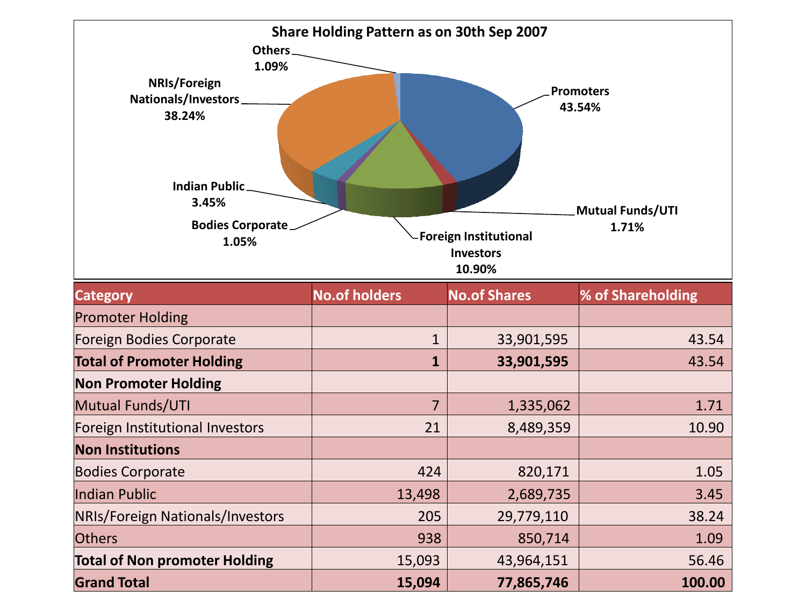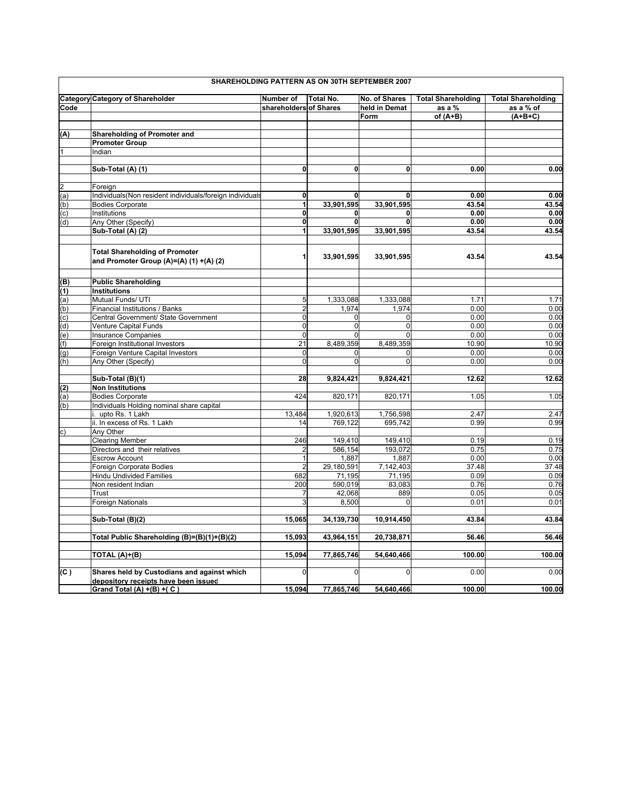|                | SHAREHOLDING PATTERN AS ON 30TH SEPTEMBER 2007                                      |                        |                  |               |                           |                           |  |  |
|----------------|-------------------------------------------------------------------------------------|------------------------|------------------|---------------|---------------------------|---------------------------|--|--|
|                | <b>Category Category of Shareholder</b>                                             | Number of              | <b>Total No.</b> | No. of Shares | <b>Total Shareholding</b> | <b>Total Shareholding</b> |  |  |
| Code           |                                                                                     | shareholders of Shares |                  | held in Demat | as a %                    | as a % of                 |  |  |
|                |                                                                                     |                        |                  | Form          | of (A+B)                  | $(A+B+C)$                 |  |  |
|                |                                                                                     |                        |                  |               |                           |                           |  |  |
| (A)            | Shareholding of Promoter and                                                        |                        |                  |               |                           |                           |  |  |
|                | <b>Promoter Group</b>                                                               |                        |                  |               |                           |                           |  |  |
| $\overline{1}$ | Indian                                                                              |                        |                  |               |                           |                           |  |  |
|                |                                                                                     |                        |                  |               |                           |                           |  |  |
|                | Sub-Total (A) (1)                                                                   | 0                      | $\mathbf{0}$     | 0             | 0.00                      | 0.00                      |  |  |
|                |                                                                                     |                        |                  |               |                           |                           |  |  |
|                |                                                                                     |                        |                  |               |                           |                           |  |  |
| $\overline{c}$ | Foreign                                                                             |                        |                  |               |                           |                           |  |  |
| (a)            | Individuals(Non resident individuals/foreign individuals                            | 0<br>$\mathbf{1}$      | 0                | $\mathbf{0}$  | 0.00                      | 0.00                      |  |  |
| (b)            | <b>Bodies Corporate</b>                                                             |                        | 33,901,595       | 33,901,595    | 43.54                     | 43.54                     |  |  |
| (c)            | Institutions                                                                        | 0                      | $\mathbf 0$      | 0             | 0.00                      | 0.00                      |  |  |
| (d)            | Any Other (Specify)                                                                 | 0                      | $\mathbf 0$      | 0             | 0.00                      | 0.00                      |  |  |
|                | Sub-Total (A) (2)                                                                   | 1                      | 33,901,595       | 33,901,595    | 43.54                     | 43.54                     |  |  |
|                | <b>Total Shareholding of Promoter</b><br>and Promoter Group (A)=(A) (1) +(A) (2)    |                        | 33,901,595       | 33,901,595    | 43.54                     | 43.54                     |  |  |
|                | <b>Public Shareholding</b>                                                          |                        |                  |               |                           |                           |  |  |
| (B)            |                                                                                     |                        |                  |               |                           |                           |  |  |
| (1)            | Institutions                                                                        | 5                      |                  |               |                           |                           |  |  |
| (a)            | Mutual Funds/ UTI                                                                   |                        | 1,333,088        | 1,333,088     | 1.71                      | 1.71                      |  |  |
| (b)            | Financial Institutions / Banks                                                      | $\overline{2}$         | 1,974            | 1.974         | 0.00                      | 0.00                      |  |  |
| (c)            | Central Government/ State Government                                                | $\Omega$               | $\Omega$         | $\Omega$      | 0.00                      | 0.00                      |  |  |
| (d)            | Venture Capital Funds                                                               | $\mathbf 0$            | $\overline{0}$   | $\mathbf 0$   | 0.00                      | 0.00                      |  |  |
| (e)            | Insurance Companies                                                                 | $\Omega$               | $\Omega$         | $\Omega$      | 0.00                      | 0.00                      |  |  |
| (f)            | Foreign Institutional Investors                                                     | 21                     | 8,489,359        | 8,489,359     | 10.90                     | 10.90                     |  |  |
| (g)            | Foreign Venture Capital Investors                                                   | $\Omega$               | $\Omega$         | $\Omega$      | 0.00                      | 0.00                      |  |  |
| (h)            | Any Other (Specify)                                                                 | $\overline{0}$         | $\overline{0}$   | 0             | 0.00                      | 0.00                      |  |  |
|                | Sub-Total (B)(1)                                                                    | 28                     | 9,824,421        | 9,824,421     | 12.62                     | 12.62                     |  |  |
| (2)            | <b>Non Institutions</b>                                                             |                        |                  |               |                           |                           |  |  |
| (a)            | <b>Bodies Corporate</b>                                                             | 424                    | 820,171          | 820,171       | 1.05                      | 1.05                      |  |  |
| (b)            | Individuals Holding nominal share capital                                           |                        |                  |               |                           |                           |  |  |
|                | upto Rs. 1 Lakh                                                                     | 13,484                 | 1,920,613        | 1,756,598     | 2.47                      | 2.47                      |  |  |
|                | ii. In excess of Rs. 1 Lakh                                                         | 14                     | 769,122          | 695,742       | 0.99                      | 0.99                      |  |  |
| $\mathbf{c})$  | Any Other                                                                           |                        |                  |               |                           |                           |  |  |
|                | <b>Clearing Member</b>                                                              | 246                    | 149,410          | 149,410       | 0.19                      | 0.19                      |  |  |
|                | Directors and their relatives                                                       | $\overline{2}$         | 586,154          | 193,072       | 0.75                      | 0.75                      |  |  |
|                | <b>Escrow Account</b>                                                               | 1                      | 1,887            | 1,887         | 0.00                      | 0.00                      |  |  |
|                | Foreign Corporate Bodies                                                            | $\overline{2}$         | 29,180,591       | 7,142,403     | 37.48                     | 37.48                     |  |  |
|                | <b>Hindu Undivided Families</b>                                                     | 682                    | 71,195           | 71,195        | 0.09                      | 0.09                      |  |  |
|                | Non resident Indian                                                                 | 200                    | 590,019          | 83,083        | 0.76                      | 0.76                      |  |  |
|                | Trust                                                                               |                        | 42,068           | 889           | 0.05                      | 0.05                      |  |  |
|                |                                                                                     |                        |                  | $\Omega$      |                           |                           |  |  |
|                | <b>Foreign Nationals</b>                                                            | 3                      | 8,500            |               | 0.01                      | 0.01                      |  |  |
|                | Sub-Total (B)(2)                                                                    | 15,065                 | 34,139,730       | 10,914,450    | 43.84                     | 43.84                     |  |  |
|                | Total Public Shareholding (B)=(B)(1)+(B)(2)                                         | 15,093                 | 43,964,151       | 20,738,871    | 56.46                     | 56.46                     |  |  |
|                |                                                                                     |                        |                  |               |                           |                           |  |  |
|                | TOTAL (A)+(B)                                                                       | 15,094                 | 77,865,746       | 54,640,466    | 100.00                    | 100.00                    |  |  |
|                |                                                                                     | 0                      |                  |               |                           |                           |  |  |
| (C)            | Shares held by Custodians and against which<br>depository receipts have been issued |                        | 0                |               | 0.00                      | 0.00                      |  |  |
|                | Grand Total (A) +(B) +(C)                                                           | 15,094                 | 77,865,746       | 54,640,466    | 100.00                    | 100.00                    |  |  |